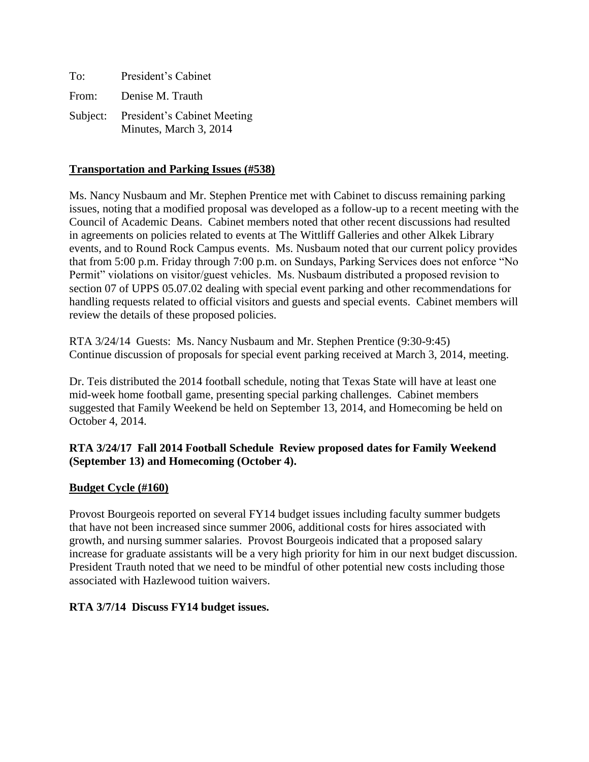| To:      | President's Cabinet                                          |
|----------|--------------------------------------------------------------|
| From:    | Denise M. Trauth                                             |
| Subject: | <b>President's Cabinet Meeting</b><br>Minutes, March 3, 2014 |

## **Transportation and Parking Issues (#538)**

Ms. Nancy Nusbaum and Mr. Stephen Prentice met with Cabinet to discuss remaining parking issues, noting that a modified proposal was developed as a follow-up to a recent meeting with the Council of Academic Deans. Cabinet members noted that other recent discussions had resulted in agreements on policies related to events at The Wittliff Galleries and other Alkek Library events, and to Round Rock Campus events. Ms. Nusbaum noted that our current policy provides that from 5:00 p.m. Friday through 7:00 p.m. on Sundays, Parking Services does not enforce "No Permit" violations on visitor/guest vehicles. Ms. Nusbaum distributed a proposed revision to section 07 of UPPS 05.07.02 dealing with special event parking and other recommendations for handling requests related to official visitors and guests and special events. Cabinet members will review the details of these proposed policies.

RTA 3/24/14 Guests: Ms. Nancy Nusbaum and Mr. Stephen Prentice (9:30-9:45) Continue discussion of proposals for special event parking received at March 3, 2014, meeting.

Dr. Teis distributed the 2014 football schedule, noting that Texas State will have at least one mid-week home football game, presenting special parking challenges. Cabinet members suggested that Family Weekend be held on September 13, 2014, and Homecoming be held on October 4, 2014.

# **RTA 3/24/17 Fall 2014 Football Schedule Review proposed dates for Family Weekend (September 13) and Homecoming (October 4).**

### **Budget Cycle (#160)**

Provost Bourgeois reported on several FY14 budget issues including faculty summer budgets that have not been increased since summer 2006, additional costs for hires associated with growth, and nursing summer salaries. Provost Bourgeois indicated that a proposed salary increase for graduate assistants will be a very high priority for him in our next budget discussion. President Trauth noted that we need to be mindful of other potential new costs including those associated with Hazlewood tuition waivers.

### **RTA 3/7/14 Discuss FY14 budget issues.**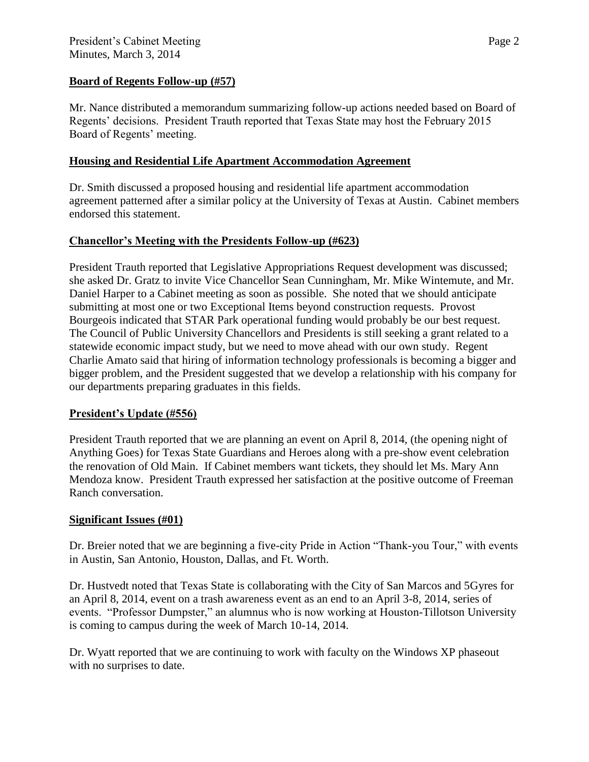# **Board of Regents Follow-up (#57)**

Mr. Nance distributed a memorandum summarizing follow-up actions needed based on Board of Regents' decisions. President Trauth reported that Texas State may host the February 2015 Board of Regents' meeting.

## **Housing and Residential Life Apartment Accommodation Agreement**

Dr. Smith discussed a proposed housing and residential life apartment accommodation agreement patterned after a similar policy at the University of Texas at Austin. Cabinet members endorsed this statement.

# **Chancellor's Meeting with the Presidents Follow-up (#623)**

President Trauth reported that Legislative Appropriations Request development was discussed; she asked Dr. Gratz to invite Vice Chancellor Sean Cunningham, Mr. Mike Wintemute, and Mr. Daniel Harper to a Cabinet meeting as soon as possible. She noted that we should anticipate submitting at most one or two Exceptional Items beyond construction requests. Provost Bourgeois indicated that STAR Park operational funding would probably be our best request. The Council of Public University Chancellors and Presidents is still seeking a grant related to a statewide economic impact study, but we need to move ahead with our own study. Regent Charlie Amato said that hiring of information technology professionals is becoming a bigger and bigger problem, and the President suggested that we develop a relationship with his company for our departments preparing graduates in this fields.

### **President's Update (#556)**

President Trauth reported that we are planning an event on April 8, 2014, (the opening night of Anything Goes) for Texas State Guardians and Heroes along with a pre-show event celebration the renovation of Old Main. If Cabinet members want tickets, they should let Ms. Mary Ann Mendoza know. President Trauth expressed her satisfaction at the positive outcome of Freeman Ranch conversation.

### **Significant Issues (#01)**

Dr. Breier noted that we are beginning a five-city Pride in Action "Thank-you Tour," with events in Austin, San Antonio, Houston, Dallas, and Ft. Worth.

Dr. Hustvedt noted that Texas State is collaborating with the City of San Marcos and 5Gyres for an April 8, 2014, event on a trash awareness event as an end to an April 3-8, 2014, series of events. "Professor Dumpster," an alumnus who is now working at Houston-Tillotson University is coming to campus during the week of March 10-14, 2014.

Dr. Wyatt reported that we are continuing to work with faculty on the Windows XP phaseout with no surprises to date.